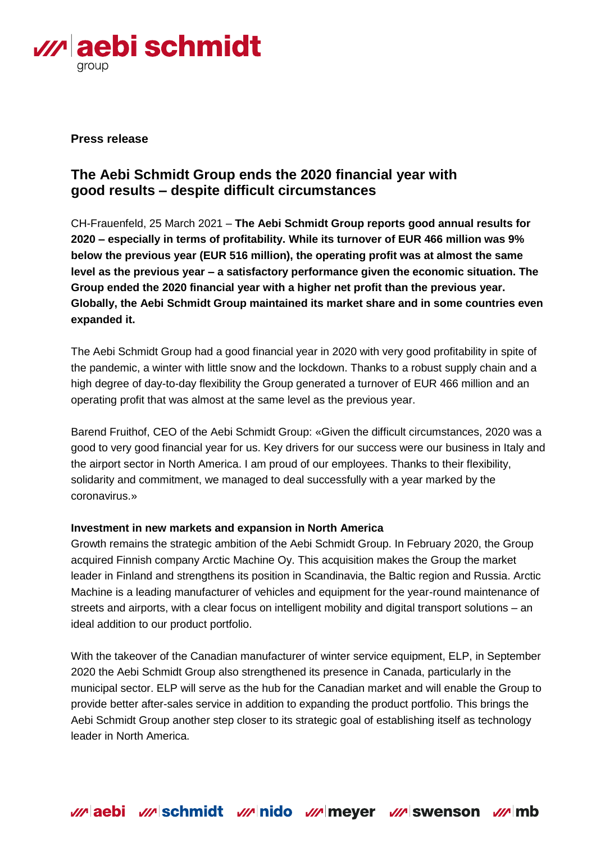

# **Press release**

# **The Aebi Schmidt Group ends the 2020 financial year with good results – despite difficult circumstances**

CH-Frauenfeld, 25 March 2021 – **The Aebi Schmidt Group reports good annual results for 2020 – especially in terms of profitability. While its turnover of EUR 466 million was 9% below the previous year (EUR 516 million), the operating profit was at almost the same level as the previous year – a satisfactory performance given the economic situation. The Group ended the 2020 financial year with a higher net profit than the previous year. Globally, the Aebi Schmidt Group maintained its market share and in some countries even expanded it.**

The Aebi Schmidt Group had a good financial year in 2020 with very good profitability in spite of the pandemic, a winter with little snow and the lockdown. Thanks to a robust supply chain and a high degree of day-to-day flexibility the Group generated a turnover of EUR 466 million and an operating profit that was almost at the same level as the previous year.

Barend Fruithof, CEO of the Aebi Schmidt Group: «Given the difficult circumstances, 2020 was a good to very good financial year for us. Key drivers for our success were our business in Italy and the airport sector in North America. I am proud of our employees. Thanks to their flexibility, solidarity and commitment, we managed to deal successfully with a year marked by the coronavirus.»

### **Investment in new markets and expansion in North America**

Growth remains the strategic ambition of the Aebi Schmidt Group. In February 2020, the Group acquired Finnish company Arctic Machine Oy. This acquisition makes the Group the market leader in Finland and strengthens its position in Scandinavia, the Baltic region and Russia. Arctic Machine is a leading manufacturer of vehicles and equipment for the year-round maintenance of streets and airports, with a clear focus on intelligent mobility and digital transport solutions – an ideal addition to our product portfolio.

With the takeover of the Canadian manufacturer of winter service equipment, ELP, in September 2020 the Aebi Schmidt Group also strengthened its presence in Canada, particularly in the municipal sector. ELP will serve as the hub for the Canadian market and will enable the Group to provide better after-sales service in addition to expanding the product portfolio. This brings the Aebi Schmidt Group another step closer to its strategic goal of establishing itself as technology leader in North America.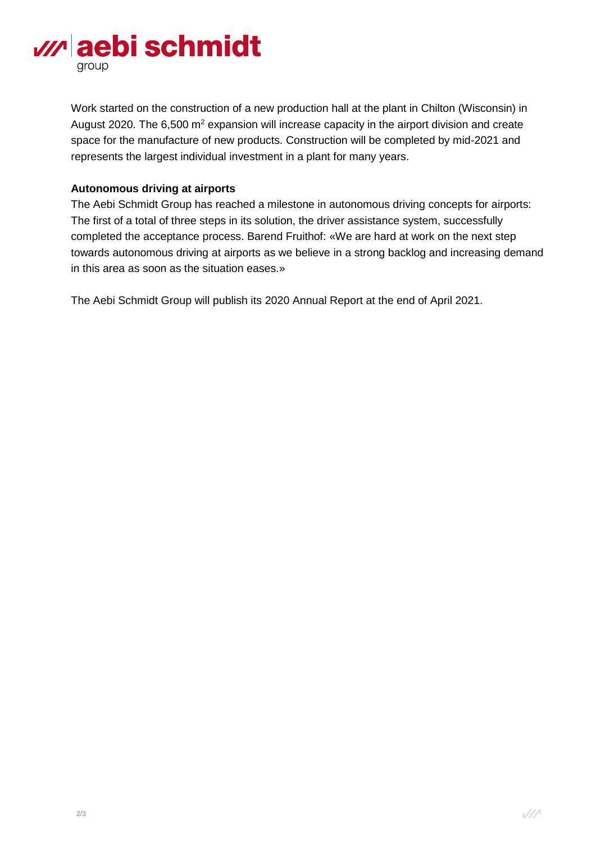

Work started on the construction of a new production hall at the plant in Chilton (Wisconsin) in August 2020. The 6,500  $m^2$  expansion will increase capacity in the airport division and create space for the manufacture of new products. Construction will be completed by mid-2021 and represents the largest individual investment in a plant for many years.

# **Autonomous driving at airports**

The Aebi Schmidt Group has reached a milestone in autonomous driving concepts for airports: The first of a total of three steps in its solution, the driver assistance system, successfully completed the acceptance process. Barend Fruithof: «We are hard at work on the next step towards autonomous driving at airports as we believe in a strong backlog and increasing demand in this area as soon as the situation eases.»

The Aebi Schmidt Group will publish its 2020 Annual Report at the end of April 2021.